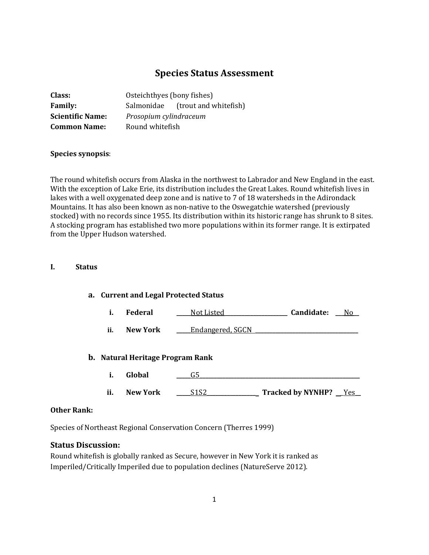# **Species Status Assessment**

| Class:                  | Osteichthyes (bony fishes) |                                   |  |
|-------------------------|----------------------------|-----------------------------------|--|
| <b>Family:</b>          |                            | Salmonidae (trout and white fish) |  |
| <b>Scientific Name:</b> | Prosopium cylindraceum     |                                   |  |
| <b>Common Name:</b>     | Round whitefish            |                                   |  |

### **Species synopsis**:

The round whitefish occurs from Alaska in the northwest to Labrador and New England in the east. With the exception of Lake Erie, its distribution includes the Great Lakes. Round whitefish lives in lakes with a well oxygenated deep zone and is native to 7 of 18 watersheds in the Adirondack Mountains. It has also been known as non-native to the Oswegatchie watershed (previously stocked) with no records since 1955. Its distribution within its historic range has shrunk to 8 sites. A stocking program has established two more populations within its former range. It is extirpated from the Upper Hudson watershed.

#### **I. Status**

| a. Current and Legal Protected Status |                 |                                         |                                     |  |
|---------------------------------------|-----------------|-----------------------------------------|-------------------------------------|--|
| i.                                    | <b>Federal</b>  | Not Listed                              | Candidate:<br>No                    |  |
| ii.                                   | New York        | Endangered, SGCN                        |                                     |  |
|                                       |                 | <b>b.</b> Natural Heritage Program Rank |                                     |  |
| i.                                    | Global          | G5                                      |                                     |  |
| ii.                                   | <b>New York</b> | S <sub>1</sub> S <sub>2</sub>           | Tracked by NYNHP? Tracked by NYNHP? |  |
|                                       |                 |                                         |                                     |  |

### **Other Rank:**

Species of Northeast Regional Conservation Concern (Therres 1999)

### **Status Discussion:**

Round whitefish is globally ranked as Secure, however in New York it is ranked as Imperiled/Critically Imperiled due to population declines (NatureServe 2012).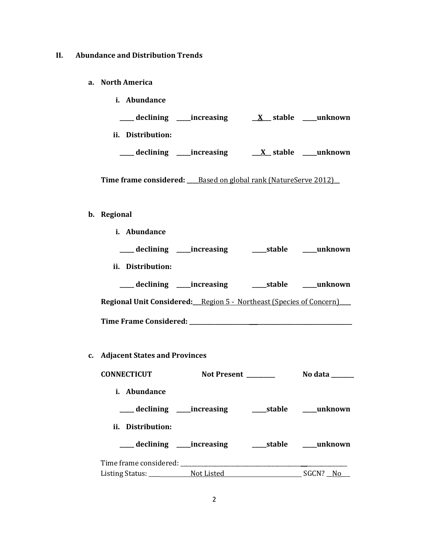### **II. Abundance and Distribution Trends**

- **a. North America**
	- **i. Abundance \_\_\_\_\_ declining \_\_\_\_\_increasing \_\_X\_\_\_ stable \_\_\_\_\_unknown ii. Distribution: \_\_\_\_\_ declining \_\_\_\_\_increasing \_\_\_X\_\_ stable \_\_\_\_\_unknown**

**Time frame considered: \_\_\_\_**Based on global rank (NatureServe 2012)**\_\_**

# **b. Regional**

**i. Abundance**

| ____ declining ______ increasing                                           | stable | unknown |
|----------------------------------------------------------------------------|--------|---------|
| ii. Distribution:                                                          |        |         |
| ____ declining _____increasing                                             | stable | unknown |
| <b>Regional Unit Considered:</b> Region 5 - Northeast (Species of Concern) |        |         |
| <b>Time Frame Considered:</b>                                              |        |         |

**c. Adjacent States and Provinces**

| <b>CONNECTICUT</b>             | Not Present | No data                    |
|--------------------------------|-------------|----------------------------|
| <i>i.</i> Abundance            |             |                            |
| ii. Distribution:              |             |                            |
| ____ declining _____increasing |             | ______stable ______unknown |
|                                |             |                            |
| Listing Status: Not Listed     |             | SGCN? No                   |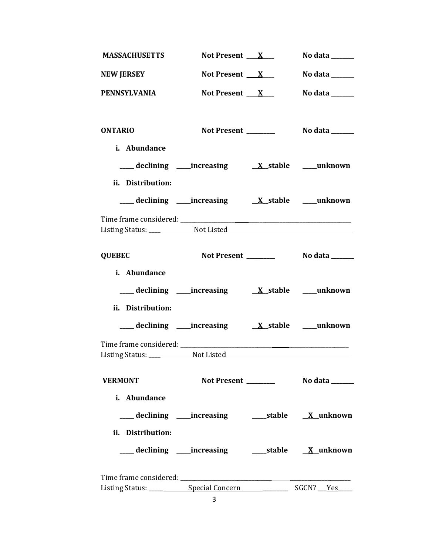| <b>MASSACHUSETTS</b>                                     | Not Present $X_{-}$      | No data $\_\_\_\_\_\_\_\_\_\_\_\_\$ |
|----------------------------------------------------------|--------------------------|-------------------------------------|
| <b>NEW JERSEY</b>                                        | Not Present $\mathbf{X}$ | No data $\_\_\_\_\_\_\_\_\_\_\_\_\$ |
| <b>PENNSYLVANIA</b>                                      | Not Present $X_{-}$      | No data ______                      |
|                                                          |                          |                                     |
| <b>ONTARIO</b>                                           | Not Present _______      | No data ______                      |
| i. Abundance                                             |                          |                                     |
|                                                          |                          |                                     |
| ii. Distribution:                                        |                          |                                     |
|                                                          |                          |                                     |
|                                                          |                          |                                     |
| Listing Status: Not Listed Not Listed                    |                          |                                     |
| <b>QUEBEC</b>                                            |                          |                                     |
| i. Abundance                                             |                          |                                     |
|                                                          |                          |                                     |
| ii. Distribution:                                        |                          |                                     |
|                                                          |                          |                                     |
|                                                          |                          |                                     |
|                                                          |                          |                                     |
| <b>VERMONT</b>                                           |                          |                                     |
| i. Abundance                                             |                          |                                     |
|                                                          |                          |                                     |
| ii. Distribution:                                        |                          |                                     |
| ___ declining ____increasing ______stable _____X_unknown |                          |                                     |
|                                                          |                          |                                     |
|                                                          |                          |                                     |
|                                                          | 3                        |                                     |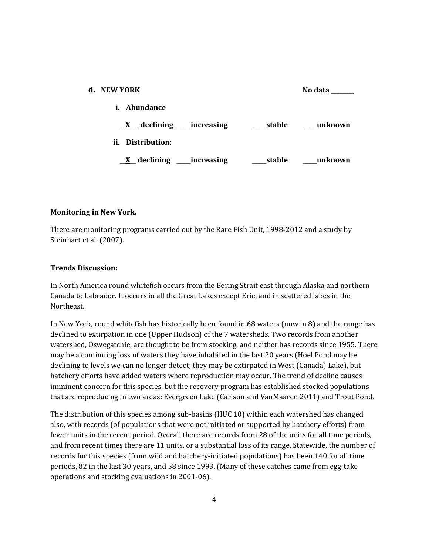| d. NEW YORK                                 |        | No data |
|---------------------------------------------|--------|---------|
| Abundance<br>i.                             |        |         |
| $X$ declining _____ increasing              | stable | unknown |
| ii.<br>Distribution:                        |        |         |
| $\underline{X}$ declining ______ increasing | stable | unknown |

### **Monitoring in New York.**

There are monitoring programs carried out by the Rare Fish Unit, 1998-2012 and a study by Steinhart et al. (2007).

#### **Trends Discussion:**

In North America round whitefish occurs from the Bering Strait east through Alaska and northern Canada to Labrador. It occurs in all the Great Lakes except Erie, and in scattered lakes in the Northeast.

In New York, round whitefish has historically been found in 68 waters (now in 8) and the range has declined to extirpation in one (Upper Hudson) of the 7 watersheds. Two records from another watershed, Oswegatchie, are thought to be from stocking, and neither has records since 1955. There may be a continuing loss of waters they have inhabited in the last 20 years (Hoel Pond may be declining to levels we can no longer detect; they may be extirpated in West (Canada) Lake), but hatchery efforts have added waters where reproduction may occur. The trend of decline causes imminent concern for this species, but the recovery program has established stocked populations that are reproducing in two areas: Evergreen Lake (Carlson and VanMaaren 2011) and Trout Pond.

The distribution of this species among sub-basins (HUC 10) within each watershed has changed also, with records (of populations that were not initiated or supported by hatchery efforts) from fewer units in the recent period. Overall there are records from 28 of the units for all time periods, and from recent times there are 11 units, or a substantial loss of its range. Statewide, the number of records for this species (from wild and hatchery-initiated populations) has been 140 for all time periods, 82 in the last 30 years, and 58 since 1993. (Many of these catches came from egg-take operations and stocking evaluations in 2001-06).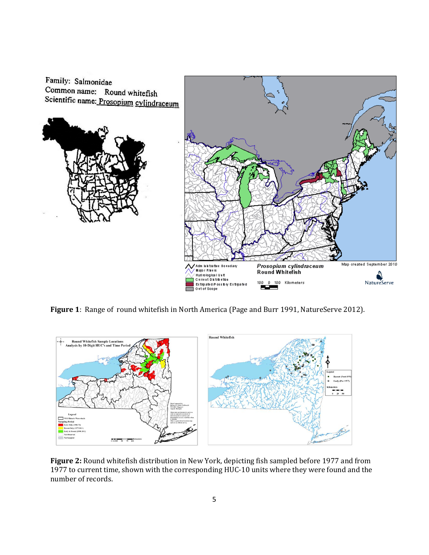

**Figure 1**: Range of round whitefish in North America (Page and Burr 1991, NatureServe 2012).



**Figure 2:** Round whitefish distribution in New York, depicting fish sampled before 1977 and from 1977 to current time, shown with the corresponding HUC-10 units where they were found and the number of records.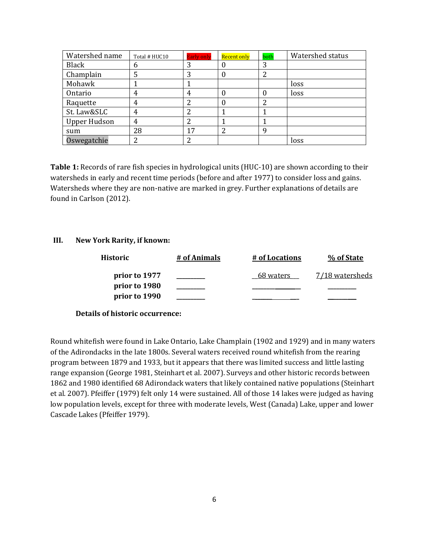| Watershed name      | Total # HUC10 | <b>Early only</b> | Recent only | both | Watershed status |
|---------------------|---------------|-------------------|-------------|------|------------------|
| <b>Black</b>        | b             |                   | O           | 3    |                  |
| Champlain           |               | 3                 | $\theta$    | 2    |                  |
| Mohawk              |               |                   |             |      | loss             |
| Ontario             | 4             | 4                 |             |      | loss             |
| Raquette            | 4             |                   | 0           | າ    |                  |
| St. Law&SLC         |               |                   |             |      |                  |
| <b>Upper Hudson</b> | 4             |                   |             |      |                  |
| sum                 | 28            | 17                | ົາ          | 9    |                  |
| Oswegatchie         |               |                   |             |      | loss             |

**Table 1:** Records of rare fish species in hydrological units (HUC-10) are shown according to their watersheds in early and recent time periods (before and after 1977) to consider loss and gains. Watersheds where they are non-native are marked in grey. Further explanations of details are found in Carlson (2012).

### **III. New York Rarity, if known:**

| <b>Historic</b> | # of Animals | # of Locations | % of State      |
|-----------------|--------------|----------------|-----------------|
| prior to 1977   |              | 68 waters      | 7/18 watersheds |
| prior to 1980   |              |                |                 |
| prior to 1990   |              |                |                 |

### **Details of historic occurrence:**

Round whitefish were found in Lake Ontario, Lake Champlain (1902 and 1929) and in many waters of the Adirondacks in the late 1800s. Several waters received round whitefish from the rearing program between 1879 and 1933, but it appears that there was limited success and little lasting range expansion (George 1981, Steinhart et al. 2007). Surveys and other historic records between 1862 and 1980 identified 68 Adirondack waters that likely contained native populations (Steinhart et al. 2007). Pfeiffer (1979) felt only 14 were sustained. All of those 14 lakes were judged as having low population levels, except for three with moderate levels, West (Canada) Lake, upper and lower Cascade Lakes (Pfeiffer 1979).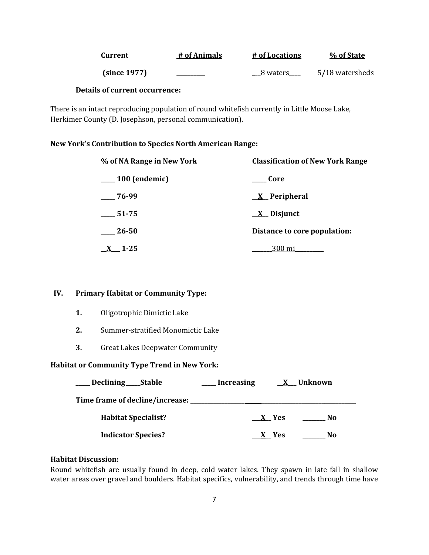| Current      | # of Animals | # of Locations | % of State      |
|--------------|--------------|----------------|-----------------|
| (since 1977) |              | 8 waters       | 5/18 watersheds |

### **Details of current occurrence:**

There is an intact reproducing population of round whitefish currently in Little Moose Lake, Herkimer County (D. Josephson, personal communication).

### **New York's Contribution to Species North American Range:**

| % of NA Range in New York | <b>Classification of New York Range</b> |  |
|---------------------------|-----------------------------------------|--|
| <sub>100</sub> (endemic)  | Core                                    |  |
| $-76-99$                  | <u>X</u> Peripheral                     |  |
| $-51-75$                  | $\underline{X}$ Disjunct                |  |
| 26-50                     | Distance to core population:            |  |
| $1 - 25$                  | 300 mi                                  |  |

### **IV. Primary Habitat or Community Type:**

- **1.** Oligotrophic Dimictic Lake
- **2.** Summer-stratified Monomictic Lake
- **3.** Great Lakes Deepwater Community

### **Habitat or Community Type Trend in New York:**

| Declining ______Stable          | Increasing | X Unknown |  |
|---------------------------------|------------|-----------|--|
| Time frame of decline/increase: |            |           |  |
| <b>Habitat Specialist?</b>      | $X$ Yes    | No        |  |
| <b>Indicator Species?</b>       | X Yes      | No        |  |

### **Habitat Discussion:**

Round whitefish are usually found in deep, cold water lakes. They spawn in late fall in shallow water areas over gravel and boulders. Habitat specifics, vulnerability, and trends through time have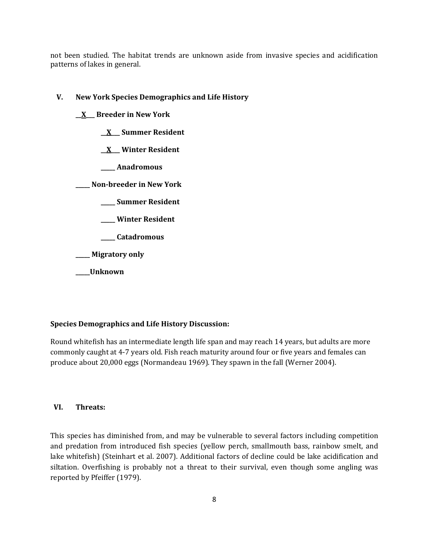not been studied. The habitat trends are unknown aside from invasive species and acidification patterns of lakes in general.

#### **V. New York Species Demographics and Life History**

- **\_\_X\_\_\_ Breeder in New York**
	- **\_\_X\_\_\_ Summer Resident**
	- **\_\_X\_\_\_ Winter Resident**
	- **\_\_\_\_\_ Anadromous**

**\_\_\_\_\_ Non-breeder in New York**

- **\_\_\_\_\_ Summer Resident**
- **\_\_\_\_\_ Winter Resident**
- **\_\_\_\_\_ Catadromous**

**\_\_\_\_\_ Migratory only**

**\_\_\_\_\_Unknown**

#### **Species Demographics and Life History Discussion:**

Round whitefish has an intermediate length life span and may reach 14 years, but adults are more commonly caught at 4-7 years old. Fish reach maturity around four or five years and females can produce about 20,000 eggs (Normandeau 1969). They spawn in the fall (Werner 2004).

### **VI. Threats:**

This species has diminished from, and may be vulnerable to several factors including competition and predation from introduced fish species (yellow perch, smallmouth bass, rainbow smelt, and lake whitefish) (Steinhart et al. 2007). Additional factors of decline could be lake acidification and siltation. Overfishing is probably not a threat to their survival, even though some angling was reported by Pfeiffer (1979).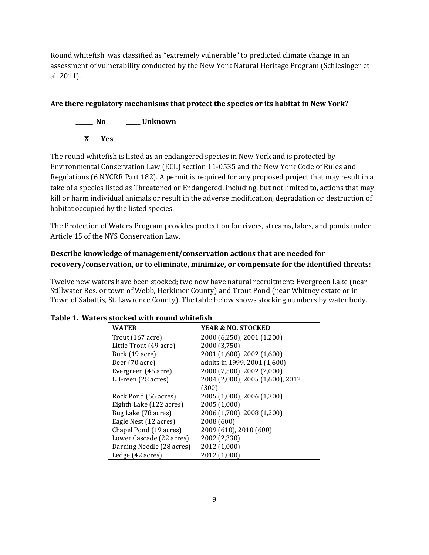Round whitefish was classified as "extremely vulnerable" to predicted climate change in an assessment of vulnerability conducted by the New York Natural Heritage Program (Schlesinger et al. 2011).

# **Are there regulatory mechanisms that protect the species or its habitat in New York?**



The round whitefish is listed as an endangered species in New York and is protected by Environmental Conservation Law (ECL) section 11-0535 and the New York Code of Rules and Regulations (6 NYCRR Part 182). A permit is required for any proposed project that may result in a take of a species listed as Threatened or Endangered, including, but not limited to, actions that may kill or harm individual animals or result in the adverse modification, degradation or destruction of habitat occupied by the listed species.

The Protection of Waters Program provides protection for rivers, streams, lakes, and ponds under Article 15 of the NYS Conservation Law.

## **Describe knowledge of management/conservation actions that are needed for recovery/conservation, or to eliminate, minimize, or compensate for the identified threats:**

Twelve new waters have been stocked; two now have natural recruitment: Evergreen Lake (near Stillwater Res. or town of Webb, Herkimer County) and Trout Pond (near Whitney estate or in Town of Sabattis, St. Lawrence County). The table below shows stocking numbers by water body.

| <b>WATER</b>               | <b>YEAR &amp; NO. STOCKED</b>    |
|----------------------------|----------------------------------|
| Trout $(167 \text{ acre})$ | 2000 (6,250), 2001 (1,200)       |
| Little Trout (49 acre)     | 2000 (3,750)                     |
| Buck (19 acre)             | 2001 (1,600), 2002 (1,600)       |
| Deer (70 acre)             | adults in 1999, 2001 (1,600)     |
| Evergreen (45 acre)        | 2000 (7,500), 2002 (2,000)       |
| L. Green (28 acres)        | 2004 (2,000), 2005 (1,600), 2012 |
|                            | (300)                            |
| Rock Pond (56 acres)       | 2005 (1,000), 2006 (1,300)       |
| Eighth Lake (122 acres)    | 2005 (1,000)                     |
| Bug Lake (78 acres)        | 2006 (1,700), 2008 (1,200)       |
| Eagle Nest (12 acres)      | 2008 (600)                       |
| Chapel Pond (19 acres)     | 2009 (610), 2010 (600)           |
| Lower Cascade (22 acres)   | 2002 (2,330)                     |
| Darning Needle (28 acres)  | 2012 (1,000)                     |
| Ledge (42 acres)           | 2012 (1,000)                     |

### **Table 1. Waters stocked with round whitefish**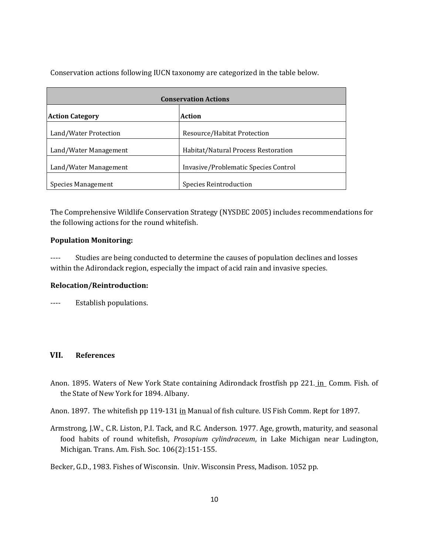Conservation actions following IUCN taxonomy are categorized in the table below.

| <b>Conservation Actions</b> |                                      |
|-----------------------------|--------------------------------------|
| <b>Action Category</b>      | <b>Action</b>                        |
| Land/Water Protection       | Resource/Habitat Protection          |
| Land/Water Management       | Habitat/Natural Process Restoration  |
| Land/Water Management       | Invasive/Problematic Species Control |
| Species Management          | Species Reintroduction               |

The Comprehensive Wildlife Conservation Strategy (NYSDEC 2005) includes recommendations for the following actions for the round whitefish.

#### **Population Monitoring:**

---- Studies are being conducted to determine the causes of population declines and losses within the Adirondack region, especially the impact of acid rain and invasive species.

### **Relocation/Reintroduction:**

---- Establish populations.

### **VII. References**

- Anon. 1895. Waters of New York State containing Adirondack frostfish pp 221. in Comm. Fish. of the State of New York for 1894. Albany.
- Anon. 1897. The whitefish pp 119-131 in Manual of fish culture. US Fish Comm. Rept for 1897.
- Armstrong, J.W., C.R. Liston, P.I. Tack, and R.C. Anderson. 1977. Age, growth, maturity, and seasonal food habits of round whitefish, *Prosopium cylindraceum*, in Lake Michigan near Ludington, Michigan. Trans. Am. Fish. Soc. 106(2):151-155.
- Becker, G.D., 1983. Fishes of Wisconsin. Univ. Wisconsin Press, Madison. 1052 pp.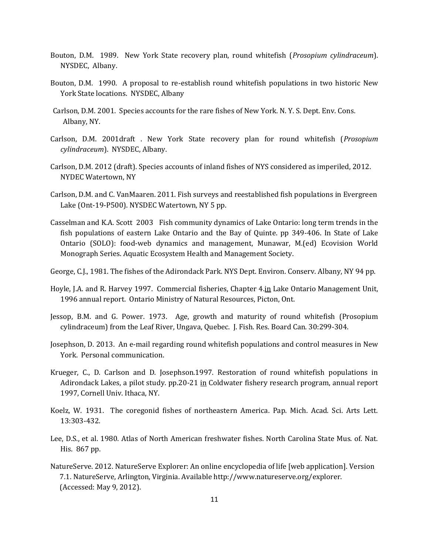- Bouton, D.M. 1989. New York State recovery plan, round whitefish (*Prosopium cylindraceum*). NYSDEC, Albany.
- Bouton, D.M. 1990. A proposal to re-establish round whitefish populations in two historic New York State locations. NYSDEC, Albany
- Carlson, D.M. 2001. Species accounts for the rare fishes of New York. N. Y. S. Dept. Env. Cons. Albany, NY.
- Carlson, D.M. 2001draft . New York State recovery plan for round whitefish (*Prosopium cylindraceum*). NYSDEC, Albany.
- Carlson, D.M. 2012 (draft). Species accounts of inland fishes of NYS considered as imperiled, 2012. NYDEC Watertown, NY
- Carlson, D.M. and C. VanMaaren. 2011. Fish surveys and reestablished fish populations in Evergreen Lake (Ont-19-P500). NYSDEC Watertown, NY 5 pp.
- Casselman and K.A. Scott 2003 Fish community dynamics of Lake Ontario: long term trends in the fish populations of eastern Lake Ontario and the Bay of Quinte. pp 349-406. In State of Lake Ontario (SOLO): food-web dynamics and management, Munawar, M.(ed) Ecovision World Monograph Series. Aquatic Ecosystem Health and Management Society.
- George, C.J., 1981. The fishes of the Adirondack Park. NYS Dept. Environ. Conserv. Albany, NY 94 pp.
- Hoyle, J.A. and R. Harvey 1997. Commercial fisheries, Chapter 4.in Lake Ontario Management Unit, 1996 annual report. Ontario Ministry of Natural Resources, Picton, Ont.
- Jessop, B.M. and G. Power. 1973. Age, growth and maturity of round whitefish (Prosopium cylindraceum) from the Leaf River, Ungava, Quebec. J. Fish. Res. Board Can. 30:299-304.
- Josephson, D. 2013. An e-mail regarding round whitefish populations and control measures in New York. Personal communication.
- Krueger, C., D. Carlson and D. Josephson.1997. Restoration of round whitefish populations in Adirondack Lakes, a pilot study. pp.20-21 in Coldwater fishery research program, annual report 1997, Cornell Univ. Ithaca, NY.
- Koelz, W. 1931. The coregonid fishes of northeastern America. Pap. Mich. Acad. Sci. Arts Lett. 13:303-432.
- Lee, D.S., et al. 1980. Atlas of North American freshwater fishes. North Carolina State Mus. of. Nat. His. 867 pp.
- NatureServe. 2012. NatureServe Explorer: An online encyclopedia of life [web application]. Version 7.1. NatureServe, Arlington, Virginia. Available http://www.natureserve.org/explorer. (Accessed: May 9, 2012).